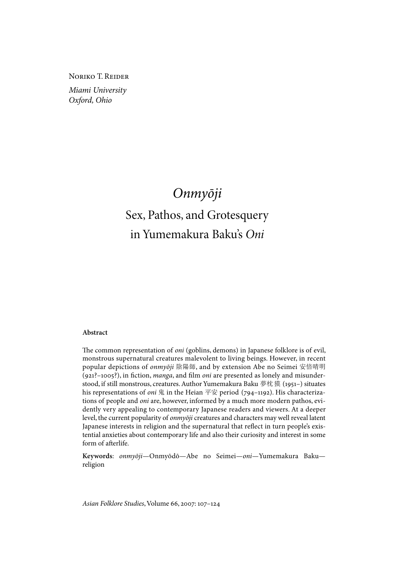Noriko T. Reider

*Miami University Oxford, Ohio*

# *Onmyōji*

# Sex, Pathos, and Grotesquery in Yumemakura Baku's *Oni*

# **Abstract**

The common representation of *oni* (goblins, demons) in Japanese folklore is of evil, monstrous supernatural creatures malevolent to living beings. However, in recent popular depictions of *onmyōji* 陰陽師, and by extension Abe no Seimei 安倍晴明 (921?–1005?), in fiction, *manga*, and film *oni* are presented as lonely and misunderstood, if still monstrous, creatures. Author Yumemakura Baku 夢枕 獏 (1951–) situates his representations of *oni* 鬼 in the Heian 平安 period (794–1192). His characterizations of people and *oni* are, however, informed by a much more modern pathos, evidently very appealing to contemporary Japanese readers and viewers. At a deeper level, the current popularity of *onmyōji* creatures and characters may well reveal latent Japanese interests in religion and the supernatural that reflect in turn people's existential anxieties about contemporary life and also their curiosity and interest in some form of afterlife.

**Keywords**: *onmyōji*—Onmyōdō—Abe no Seimei—*oni*—Yumemakura Baku religion

*Asian Folklore Studies*, Volume 66, 2007: 107–124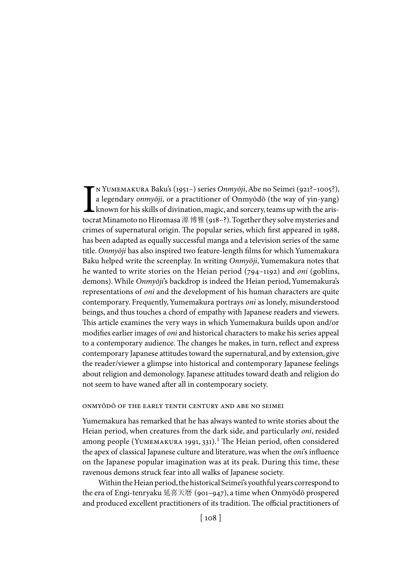I<sub>tocr</sub> n Yumemakura Baku's (1951–) series *Onmyōji*, Abe no Seimei (921?–1005?), a legendary *onmyōji,* or a practitioner of Onmyōdō (the way of yin-yang) known for his skills of divination, magic, and sorcery, teams up with the aristocrat Minamoto no Hiromasa 源 博雅 (918–?). Together they solve mysteries and crimes of supernatural origin. The popular series, which first appeared in 1988, has been adapted as equally successful manga and a television series of the same title. *Onmyōji* has also inspired two feature-length films for which Yumemakura Baku helped write the screenplay. In writing *Onmyōji*, Yumemakura notes that he wanted to write stories on the Heian period (794–1192) and *oni* (goblins, demons). While *Onmyōji*'s backdrop is indeed the Heian period, Yumemakura's representations of *oni* and the development of his human characters are quite contemporary. Frequently, Yumemakura portrays *oni* as lonely, misunderstood beings, and thus touches a chord of empathy with Japanese readers and viewers. This article examines the very ways in which Yumemakura builds upon and/or modifies earlier images of *oni* and historical characters to make his series appeal to a contemporary audience. The changes he makes, in turn, reflect and express contemporary Japanese attitudes toward the supernatural, and by extension, give the reader/viewer a glimpse into historical and contemporary Japanese feelings about religion and demonology. Japanese attitudes toward death and religion do not seem to have waned after all in contemporary society.

# onmyōdō of the early tenth century and abe no seimei

Yumemakura has remarked that he has always wanted to write stories about the Heian period, when creatures from the dark side, and particularly *oni*, resided among people (YUMEMAKURA 1991, 331).<sup>1</sup> The Heian period, often considered the apex of classical Japanese culture and literature, was when the *oni*'s influence on the Japanese popular imagination was at its peak. During this time, these ravenous demons struck fear into all walks of Japanese society.

Within the Heian period, the historical Seimei's youthful years correspond to the era of Engi-tenryaku 延喜天暦 (901–947), a time when Onmyōdō prospered and produced excellent practitioners of its tradition. The official practitioners of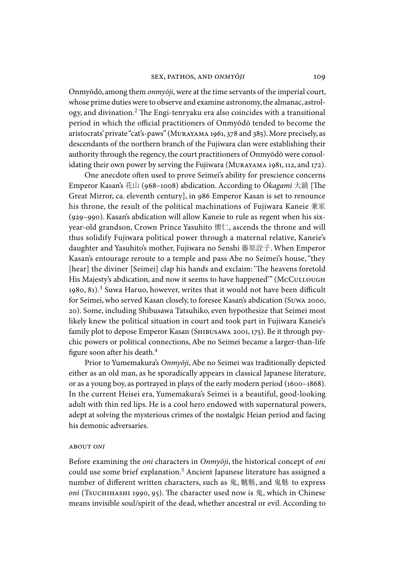# sex, pathos, and *onmyōji* 109

Onmyōdō, among them *onmyōji*, were at the time servants of the imperial court, whose prime duties were to observe and examine astronomy, the almanac, astrology, and divination.2 The Engi-tenryaku era also coincides with a transitional period in which the official practitioners of Onmyōdō tended to become the aristocrats' private "cat's-paws" (Murayama 1961, 378 and 385). More precisely, as descendants of the northern branch of the Fujiwara clan were establishing their authority through the regency, the court practitioners of Onmyōdō were consolidating their own power by serving the Fujiwara (Murayama 1981, 112, and 172).

One anecdote often used to prove Seimei's ability for prescience concerns Emperor Kasan's 花山 (968–1008) abdication. According to *Ōkagami* 大鏡 [The Great Mirror, ca. eleventh century], in 986 Emperor Kasan is set to renounce his throne, the result of the political machinations of Fujiwara Kaneie 兼家 (929–990). Kasan's abdication will allow Kaneie to rule as regent when his sixyear-old grandson, Crown Prince Yasuhito 懐仁, ascends the throne and will thus solidify Fujiwara political power through a maternal relative, Kaneie's daughter and Yasuhito's mother, Fujiwara no Senshi 藤原詮子. When Emperor Kasan's entourage reroute to a temple and pass Abe no Seimei's house, "they [hear] the diviner [Seimei] clap his hands and exclaim: 'The heavens foretold His Majesty's abdication, and now it seems to have happened" (McCuLLOUGH 1980, 81).<sup>3</sup> Suwa Haruo, however, writes that it would not have been difficult for Seimei, who served Kasan closely, to foresee Kasan's abdication (Suwa 2000, 20). Some, including Shibusawa Tatsuhiko, even hypothesize that Seimei most likely knew the political situation in court and took part in Fujiwara Kaneie's family plot to depose Emperor Kasan (SHIBUSAWA 2001, 175). Be it through psychic powers or political connections, Abe no Seimei became a larger-than-life figure soon after his death.4

Prior to Yumemakura's *Onmyōji*, Abe no Seimei was traditionally depicted either as an old man, as he sporadically appears in classical Japanese literature, or as a young boy, as portrayed in plays of the early modern period (1600–1868). In the current Heisei era, Yumemakura's Seimei is a beautiful, good-looking adult with thin red lips. He is a cool hero endowed with supernatural powers, adept at solving the mysterious crimes of the nostalgic Heian period and facing his demonic adversaries.

# about *oni*

Before examining the *oni* characters in *Onmyōji*, the historical concept of *oni* could use some brief explanation.5 Ancient Japanese literature has assigned a number of different written characters, such as 鬼, 魑魅, and 鬼魅 to express *oni* (Тѕuснинаѕни 1990, 95). The character used now is 鬼, which in Chinese means invisible soul/spirit of the dead, whether ancestral or evil. According to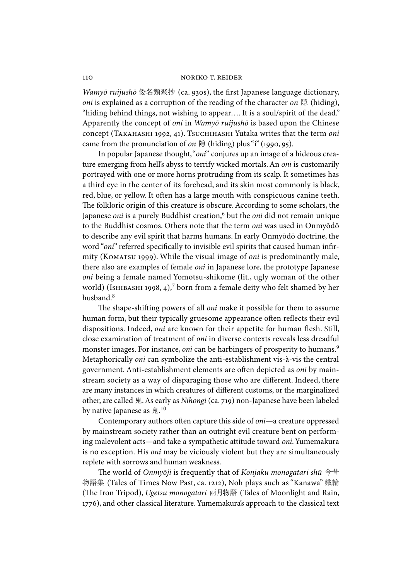*Wamyō ruijushō* 倭名類聚抄 (ca. 930s), the first Japanese language dictionary, *oni* is explained as a corruption of the reading of the character *on* 隠 (hiding), "hiding behind things, not wishing to appear…. It is a soul/spirit of the dead." Apparently the concept of *oni* in *Wamyō ruijushō* is based upon the Chinese concept (Takahashi 1992, 41). Tsuchihashi Yutaka writes that the term *oni* came from the pronunciation of *on* 隠 (hiding) plus "i" (1990, 95).

In popular Japanese thought, "*oni*" conjures up an image of a hideous creature emerging from hell's abyss to terrify wicked mortals. An *oni* is customarily portrayed with one or more horns protruding from its scalp. It sometimes has a third eye in the center of its forehead, and its skin most commonly is black, red, blue, or yellow. It often has a large mouth with conspicuous canine teeth. The folkloric origin of this creature is obscure. According to some scholars, the Japanese *oni* is a purely Buddhist creation,<sup>6</sup> but the *oni* did not remain unique to the Buddhist cosmos. Others note that the term *oni* was used in Onmyōdō to describe any evil spirit that harms humans. In early Onmyōdō doctrine, the word "*oni*" referred specifically to invisible evil spirits that caused human infirmity (KOMATSU 1999). While the visual image of *oni* is predominantly male, there also are examples of female *oni* in Japanese lore, the prototype Japanese *oni* being a female named Yomotsu-shikome (lit., ugly woman of the other world) (ISHIBASHI 1998, 4),<sup>7</sup> born from a female deity who felt shamed by her husband.<sup>8</sup>

The shape-shifting powers of all *oni* make it possible for them to assume human form, but their typically gruesome appearance often reflects their evil dispositions. Indeed, *oni* are known for their appetite for human flesh. Still, close examination of treatment of *oni* in diverse contexts reveals less dreadful monster images. For instance, *oni* can be harbingers of prosperity to humans.<sup>9</sup> Metaphorically *oni* can symbolize the anti-establishment vis-à-vis the central government. Anti-establishment elements are often depicted as *oni* by mainstream society as a way of disparaging those who are different. Indeed, there are many instances in which creatures of different customs, or the marginalized other, are called 鬼. As early as *Nihongi* (ca. 719) non-Japanese have been labeled by native Japanese as 鬼. $^{10}$ 

Contemporary authors often capture this side of *oni*—a creature oppressed by mainstream society rather than an outright evil creature bent on performing malevolent acts—and take a sympathetic attitude toward *oni*. Yumemakura is no exception. His *oni* may be viciously violent but they are simultaneously replete with sorrows and human weakness.

The world of *Onmyōji* is frequently that of *Konjaku monogatari shū* 今昔 物語集 (Tales of Times Now Past, ca. 1212), Noh plays such as "Kanawa" 鐵輪 (The Iron Tripod), *Ugetsu monogatari* 雨月物語 (Tales of Moonlight and Rain, 1776), and other classical literature. Yumemakura's approach to the classical text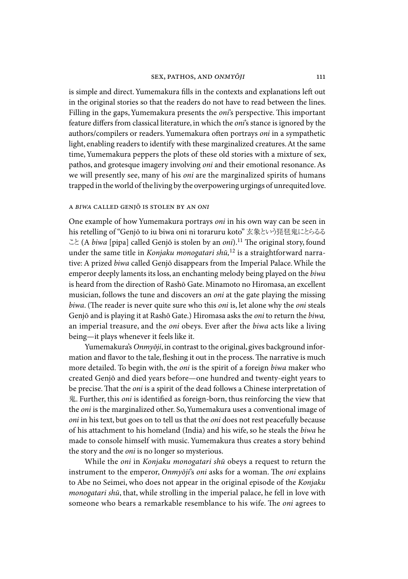# sex, pathos, and  $\overline{OMYO}$ <sup>*II*</sup> 111

is simple and direct. Yumemakura fills in the contexts and explanations left out in the original stories so that the readers do not have to read between the lines. Filling in the gaps, Yumemakura presents the *oni*'s perspective. This important feature differs from classical literature, in which the *oni*'s stance is ignored by the authors/compilers or readers. Yumemakura often portrays *oni* in a sympathetic light, enabling readers to identify with these marginalized creatures. At the same time, Yumemakura peppers the plots of these old stories with a mixture of sex, pathos, and grotesque imagery involving *oni* and their emotional resonance. As we will presently see, many of his *oni* are the marginalized spirits of humans trapped in the world of the living by the overpowering urgings of unrequited love.

# a *biwa* called genjō is stolen by an *oni*

One example of how Yumemakura portrays *oni* in his own way can be seen in his retelling of "Genjō to iu biwa oni ni toraruru koto" 玄象という琵琶鬼にとらるる こと (A *biwa* [pipa] called Genjō is stolen by an *oni*).11 The original story, found under the same title in *Konjaku monogatari shū,*12 is a straightforward narrative: A prized *biwa* called Genjō disappears from the Imperial Palace. While the emperor deeply laments its loss, an enchanting melody being played on the *biwa* is heard from the direction of Rashō Gate. Minamoto no Hiromasa, an excellent musician, follows the tune and discovers an *oni* at the gate playing the missing *biwa*. (The reader is never quite sure who this *oni* is, let alone why the *oni* steals Genjō and is playing it at Rashō Gate.) Hiromasa asks the *oni* to return the *biwa,* an imperial treasure, and the *oni* obeys. Ever after the *biwa* acts like a living being—it plays whenever it feels like it.

Yumemakura's *Onmyōji*, in contrast to the original, gives background information and flavor to the tale, fleshing it out in the process. The narrative is much more detailed. To begin with, the *oni* is the spirit of a foreign *biwa* maker who created Genjō and died years before—one hundred and twenty-eight years to be precise. That the *oni* is a spirit of the dead follows a Chinese interpretation of 鬼. Further, this *oni* is identified as foreign-born, thus reinforcing the view that the *oni* is the marginalized other. So, Yumemakura uses a conventional image of *oni* in his text, but goes on to tell us that the *oni* does not rest peacefully because of his attachment to his homeland (India) and his wife, so he steals the *biwa* he made to console himself with music. Yumemakura thus creates a story behind the story and the *oni* is no longer so mysterious.

While the *oni* in *Konjaku monogatari shū* obeys a request to return the instrument to the emperor, *Onmyōji*'s *oni* asks for a woman. The *oni* explains to Abe no Seimei, who does not appear in the original episode of the *Konjaku monogatari shū*, that, while strolling in the imperial palace, he fell in love with someone who bears a remarkable resemblance to his wife. The *oni* agrees to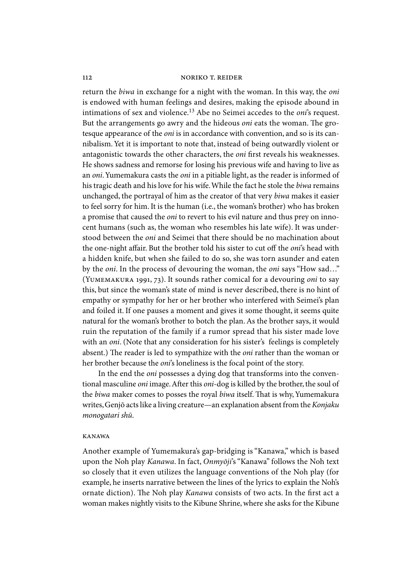return the *biwa* in exchange for a night with the woman. In this way, the *oni* is endowed with human feelings and desires, making the episode abound in intimations of sex and violence.13 Abe no Seimei accedes to the *oni*'s request. But the arrangements go awry and the hideous *oni* eats the woman. The grotesque appearance of the *oni* is in accordance with convention, and so is its cannibalism. Yet it is important to note that, instead of being outwardly violent or antagonistic towards the other characters, the *oni* first reveals his weaknesses. He shows sadness and remorse for losing his previous wife and having to live as an *oni*. Yumemakura casts the *oni* in a pitiable light, as the reader is informed of his tragic death and his love for his wife. While the fact he stole the *biwa* remains unchanged, the portrayal of him as the creator of that very *biwa* makes it easier to feel sorry for him. It is the human (i.e., the woman's brother) who has broken a promise that caused the *oni* to revert to his evil nature and thus prey on innocent humans (such as, the woman who resembles his late wife). It was understood between the *oni* and Seimei that there should be no machination about the one-night affair. But the brother told his sister to cut off the *oni*'s head with a hidden knife, but when she failed to do so, she was torn asunder and eaten by the *oni*. In the process of devouring the woman, the *oni* says "How sad…" (Yumemakura 1991, 73). It sounds rather comical for a devouring *oni* to say this, but since the woman's state of mind is never described, there is no hint of empathy or sympathy for her or her brother who interfered with Seimei's plan and foiled it. If one pauses a moment and gives it some thought, it seems quite natural for the woman's brother to botch the plan. As the brother says, it would ruin the reputation of the family if a rumor spread that his sister made love with an *oni*. (Note that any consideration for his sister's feelings is completely absent.) The reader is led to sympathize with the *oni* rather than the woman or her brother because the *oni*'s loneliness is the focal point of the story.

In the end the *oni* possesses a dying dog that transforms into the conventional masculine *oni* image. After this *oni*-dog is killed by the brother, the soul of the *biwa* maker comes to posses the royal *biwa* itself. That is why, Yumemakura writes, Genjō acts like a living creature—an explanation absent from the *Konjaku monogatari shū*.

# kanawa

Another example of Yumemakura's gap-bridging is "Kanawa," which is based upon the Noh play *Kanawa*. In fact, *Onmyōji*'s "Kanawa" follows the Noh text so closely that it even utilizes the language conventions of the Noh play (for example, he inserts narrative between the lines of the lyrics to explain the Noh's ornate diction). The Noh play *Kanawa* consists of two acts. In the first act a woman makes nightly visits to the Kibune Shrine, where she asks for the Kibune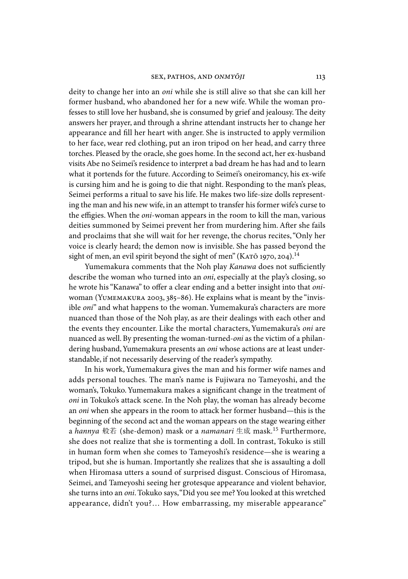# sex, pathos, and  $\overline{OMYO}$ <sup>*II*</sup> 113

deity to change her into an *oni* while she is still alive so that she can kill her former husband, who abandoned her for a new wife. While the woman professes to still love her husband, she is consumed by grief and jealousy. The deity answers her prayer, and through a shrine attendant instructs her to change her appearance and fill her heart with anger. She is instructed to apply vermilion to her face, wear red clothing, put an iron tripod on her head, and carry three torches. Pleased by the oracle, she goes home. In the second act, her ex-husband visits Abe no Seimei's residence to interpret a bad dream he has had and to learn what it portends for the future. According to Seimei's oneiromancy, his ex-wife is cursing him and he is going to die that night. Responding to the man's pleas, Seimei performs a ritual to save his life. He makes two life-size dolls representing the man and his new wife, in an attempt to transfer his former wife's curse to the effigies. When the *oni*-woman appears in the room to kill the man, various deities summoned by Seimei prevent her from murdering him. After she fails and proclaims that she will wait for her revenge, the chorus recites, "Only her voice is clearly heard; the demon now is invisible. She has passed beyond the sight of men, an evil spirit beyond the sight of men" (KATO 1970, 204).<sup>14</sup>

Yumemakura comments that the Noh play *Kanawa* does not sufficiently describe the woman who turned into an *oni*, especially at the play's closing, so he wrote his "Kanawa" to offer a clear ending and a better insight into that *oni*woman (Yumemakura 2003, 385–86). He explains what is meant by the "invisible *oni*" and what happens to the woman. Yumemakura's characters are more nuanced than those of the Noh play, as are their dealings with each other and the events they encounter. Like the mortal characters, Yumemakura's *oni* are nuanced as well. By presenting the woman-turned-*oni* as the victim of a philandering husband, Yumemakura presents an *oni* whose actions are at least understandable, if not necessarily deserving of the reader's sympathy.

In his work, Yumemakura gives the man and his former wife names and adds personal touches. The man's name is Fujiwara no Tameyoshi, and the woman's, Tokuko. Yumemakura makes a significant change in the treatment of *oni* in Tokuko's attack scene. In the Noh play, the woman has already become an *oni* when she appears in the room to attack her former husband—this is the beginning of the second act and the woman appears on the stage wearing either a *hannya* 般若 (she-demon) mask or a *namanari* 生成 mask.15 Furthermore, she does not realize that she is tormenting a doll. In contrast, Tokuko is still in human form when she comes to Tameyoshi's residence—she is wearing a tripod, but she is human. Importantly she realizes that she is assaulting a doll when Hiromasa utters a sound of surprised disgust. Conscious of Hiromasa, Seimei, and Tameyoshi seeing her grotesque appearance and violent behavior, she turns into an *oni*. Tokuko says, "Did you see me? You looked at this wretched appearance, didn't you?… How embarrassing, my miserable appearance"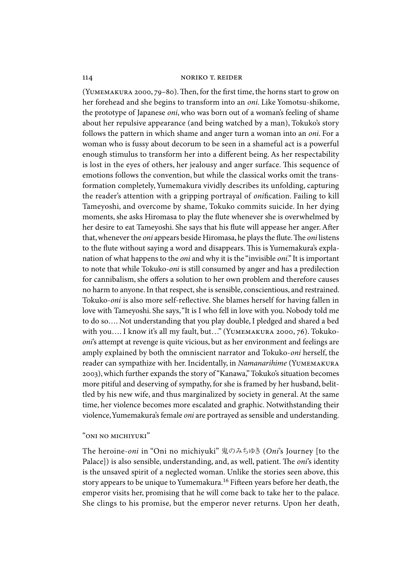(Yumemakura 2000, 79–80). Then, for the first time, the horns start to grow on her forehead and she begins to transform into an *oni*. Like Yomotsu-shikome, the prototype of Japanese *oni*, who was born out of a woman's feeling of shame about her repulsive appearance (and being watched by a man), Tokuko's story follows the pattern in which shame and anger turn a woman into an *oni*. For a woman who is fussy about decorum to be seen in a shameful act is a powerful enough stimulus to transform her into a different being. As her respectability is lost in the eyes of others, her jealousy and anger surface. This sequence of emotions follows the convention, but while the classical works omit the transformation completely, Yumemakura vividly describes its unfolding, capturing the reader's attention with a gripping portrayal of *oni*fication. Failing to kill Tameyoshi, and overcome by shame, Tokuko commits suicide. In her dying moments, she asks Hiromasa to play the flute whenever she is overwhelmed by her desire to eat Tameyoshi. She says that his flute will appease her anger. After that, whenever the *oni* appears beside Hiromasa, he plays the flute. The *oni* listens to the flute without saying a word and disappears. This is Yumemakura's explanation of what happens to the *oni* and why it is the "invisible *oni*." It is important to note that while Tokuko-*oni* is still consumed by anger and has a predilection for cannibalism, she offers a solution to her own problem and therefore causes no harm to anyone. In that respect, she is sensible, conscientious, and restrained. Tokuko-*oni* is also more self-reflective. She blames herself for having fallen in love with Tameyoshi. She says, "It is I who fell in love with you. Nobody told me to do so…. Not understanding that you play double, I pledged and shared a bed with you…. I know it's all my fault, but…" (Yumemakura 2000, 76). Tokuko*oni*'s attempt at revenge is quite vicious, but as her environment and feelings are amply explained by both the omniscient narrator and Tokuko-*oni* herself, the reader can sympathize with her. Incidentally, in *Namanarihime* (Yumemakura 2003), which further expands the story of "Kanawa," Tokuko's situation becomes more pitiful and deserving of sympathy, for she is framed by her husband, belittled by his new wife, and thus marginalized by society in general. At the same time, her violence becomes more escalated and graphic. Notwithstanding their violence, Yumemakura's female *oni* are portrayed as sensible and understanding.

# "oni no michiyuki"

The heroine-*oni* in "Oni no michiyuki" 鬼のみちゆき (*Oni*'s Journey [to the Palace]) is also sensible, understanding, and, as well, patient. The *oni*'s identity is the unsaved spirit of a neglected woman. Unlike the stories seen above, this story appears to be unique to Yumemakura.16 Fifteen years before her death, the emperor visits her, promising that he will come back to take her to the palace. She clings to his promise, but the emperor never returns. Upon her death,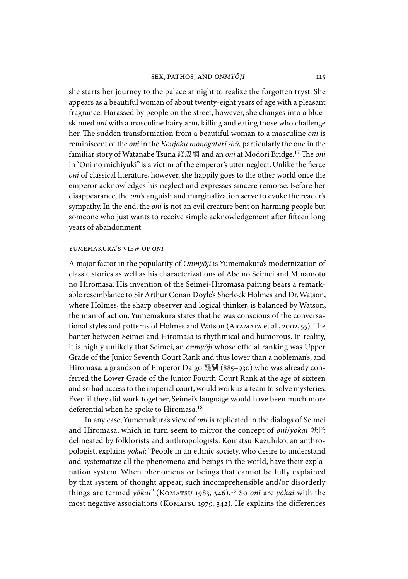# sex, pathos, and *onmyōji* 115

she starts her journey to the palace at night to realize the forgotten tryst. She appears as a beautiful woman of about twenty-eight years of age with a pleasant fragrance. Harassed by people on the street, however, she changes into a blueskinned *oni* with a masculine hairy arm, killing and eating those who challenge her. The sudden transformation from a beautiful woman to a masculine *oni* is reminiscent of the *oni* in the *Konjaku monagatari shū,* particularly the one in the familiar story of Watanabe Tsuna 渡辺 綱 and an *oni* at Modori Bridge.17 The *oni* in "Oni no michiyuki" is a victim of the emperor's utter neglect. Unlike the fierce *oni* of classical literature, however, she happily goes to the other world once the emperor acknowledges his neglect and expresses sincere remorse. Before her disappearance, the *oni*'s anguish and marginalization serve to evoke the reader's sympathy. In the end, the *oni* is not an evil creature bent on harming people but someone who just wants to receive simple acknowledgement after fifteen long years of abandonment.

# yumemakura's view of *oni*

A major factor in the popularity of *Onmyōji* is Yumemakura's modernization of classic stories as well as his characterizations of Abe no Seimei and Minamoto no Hiromasa. His invention of the Seimei-Hiromasa pairing bears a remarkable resemblance to Sir Arthur Conan Doyle's Sherlock Holmes and Dr. Watson, where Holmes, the sharp observer and logical thinker, is balanced by Watson, the man of action. Yumemakura states that he was conscious of the conversational styles and patterns of Holmes and Watson (Aramata et al., 2002, 55). The banter between Seimei and Hiromasa is rhythmical and humorous. In reality, it is highly unlikely that Seimei, an *onmyōji* whose official ranking was Upper Grade of the Junior Seventh Court Rank and thus lower than a nobleman's, and Hiromasa, a grandson of Emperor Daigo 醍醐 (885–930) who was already conferred the Lower Grade of the Junior Fourth Court Rank at the age of sixteen and so had access to the imperial court, would work as a team to solve mysteries. Even if they did work together, Seimei's language would have been much more deferential when he spoke to Hiromasa.<sup>18</sup>

In any case, Yumemakura's view of *oni* is replicated in the dialogs of Seimei and Hiromasa, which in turn seem to mirror the concept of *oni*/*yōkai* 妖怪 delineated by folklorists and anthropologists. Komatsu Kazuhiko, an anthropologist, explains *yōkai*: "People in an ethnic society, who desire to understand and systematize all the phenomena and beings in the world, have their explanation system. When phenomena or beings that cannot be fully explained by that system of thought appear, such incomprehensible and/or disorderly things are termed *yōkai*" (KOMATSU 1983, 346).<sup>19</sup> So *oni* are *yōkai* with the most negative associations (KOMATSU 1979, 342). He explains the differences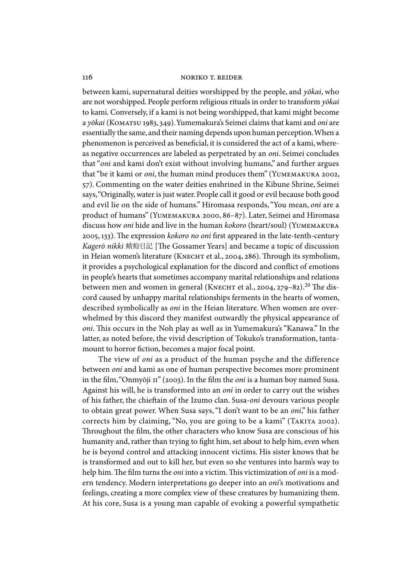between kami, supernatural deities worshipped by the people, and *yōkai*, who are not worshipped. People perform religious rituals in order to transform *yōkai* to kami. Conversely, if a kami is not being worshipped, that kami might become a *yōkai* (Komatsu 1983, 349). Yumemakura's Seimei claims that kami and *oni* are essentially the same, and their naming depends upon human perception. When a phenomenon is perceived as beneficial, it is considered the act of a kami, whereas negative occurrences are labeled as perpetrated by an *oni*. Seimei concludes that "*oni* and kami don't exist without involving humans," and further argues that "be it kami or *oni*, the human mind produces them" (Yumemakura 2002, 57). Commenting on the water deities enshrined in the Kibune Shrine, Seimei says, "Originally, water is just water. People call it good or evil because both good and evil lie on the side of humans." Hiromasa responds, "You mean, *oni* are a product of humans" (Yumemakura 2000, 86–87). Later, Seimei and Hiromasa discuss how *oni* hide and live in the human *kokoro* (heart/soul) (Yumemakura 2005, 133). The expression *kokoro no oni* first appeared in the late-tenth-century *Kagerō nikki* 蜻蛉日記 [The Gossamer Years] and became a topic of discussion in Heian women's literature (KNECHT et al., 2004, 286). Through its symbolism, it provides a psychological explanation for the discord and conflict of emotions in people's hearts that sometimes accompany marital relationships and relations between men and women in general (KNECHT et al., 2004, 279–82).<sup>20</sup> The discord caused by unhappy marital relationships ferments in the hearts of women, described symbolically as *oni* in the Heian literature. When women are overwhelmed by this discord they manifest outwardly the physical appearance of *oni*. This occurs in the Noh play as well as in Yumemakura's "Kanawa." In the latter, as noted before, the vivid description of Tokuko's transformation, tantamount to horror fiction, becomes a major focal point.

The view of *oni* as a product of the human psyche and the difference between *oni* and kami as one of human perspective becomes more prominent in the film, "Onmyōji II" (2003). In the film the *oni* is a human boy named Susa. Against his will, he is transformed into an *oni* in order to carry out the wishes of his father, the chieftain of the Izumo clan. Susa-*oni* devours various people to obtain great power. When Susa says, "I don't want to be an *oni*," his father corrects him by claiming, "No, you are going to be a kami" (Takita 2002). Throughout the film, the other characters who know Susa are conscious of his humanity and, rather than trying to fight him, set about to help him, even when he is beyond control and attacking innocent victims. His sister knows that he is transformed and out to kill her, but even so she ventures into harm's way to help him. The film turns the *oni* into a victim. This victimization of *oni* is a modern tendency. Modern interpretations go deeper into an *oni*'s motivations and feelings, creating a more complex view of these creatures by humanizing them. At his core, Susa is a young man capable of evoking a powerful sympathetic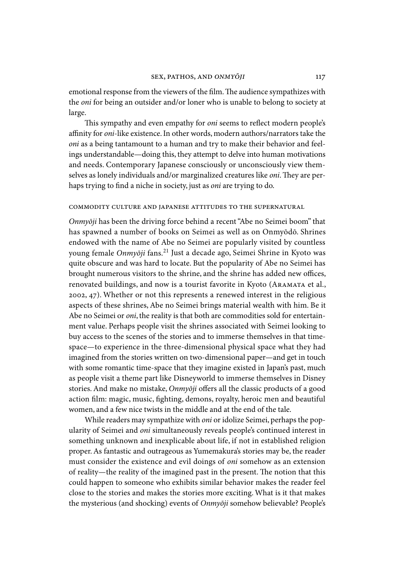emotional response from the viewers of the film. The audience sympathizes with the *oni* for being an outsider and/or loner who is unable to belong to society at large.

This sympathy and even empathy for *oni* seems to reflect modern people's affinity for *oni*-like existence. In other words, modern authors/narrators take the *oni* as a being tantamount to a human and try to make their behavior and feelings understandable—doing this, they attempt to delve into human motivations and needs. Contemporary Japanese consciously or unconsciously view themselves as lonely individuals and/or marginalized creatures like *oni*. They are perhaps trying to find a niche in society, just as *oni* are trying to do.

# commodity culture and japanese attitudes to the supernatural

*Onmyōji* has been the driving force behind a recent "Abe no Seimei boom" that has spawned a number of books on Seimei as well as on Onmyōdō. Shrines endowed with the name of Abe no Seimei are popularly visited by countless young female *Onmyōji* fans.21 Just a decade ago, Seimei Shrine in Kyoto was quite obscure and was hard to locate. But the popularity of Abe no Seimei has brought numerous visitors to the shrine, and the shrine has added new offices, renovated buildings, and now is a tourist favorite in Kyoto (ARAMATA et al., 2002, 47). Whether or not this represents a renewed interest in the religious aspects of these shrines, Abe no Seimei brings material wealth with him. Be it Abe no Seimei or *oni*, the reality is that both are commodities sold for entertainment value. Perhaps people visit the shrines associated with Seimei looking to buy access to the scenes of the stories and to immerse themselves in that timespace—to experience in the three-dimensional physical space what they had imagined from the stories written on two-dimensional paper—and get in touch with some romantic time-space that they imagine existed in Japan's past, much as people visit a theme part like Disneyworld to immerse themselves in Disney stories. And make no mistake, *Onmyōji* offers all the classic products of a good action film: magic, music, fighting, demons, royalty, heroic men and beautiful women, and a few nice twists in the middle and at the end of the tale.

While readers may sympathize with *oni* or idolize Seimei, perhaps the popularity of Seimei and *oni* simultaneously reveals people's continued interest in something unknown and inexplicable about life, if not in established religion proper. As fantastic and outrageous as Yumemakura's stories may be, the reader must consider the existence and evil doings of *oni* somehow as an extension of reality—the reality of the imagined past in the present. The notion that this could happen to someone who exhibits similar behavior makes the reader feel close to the stories and makes the stories more exciting. What is it that makes the mysterious (and shocking) events of *Onmyōji* somehow believable? People's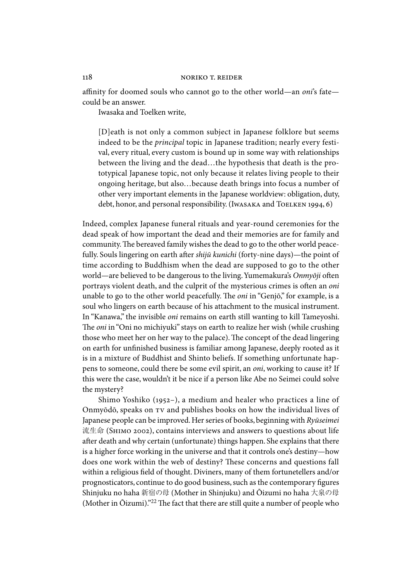# 118 noriko t. reider

affinity for doomed souls who cannot go to the other world—an *oni*'s fate could be an answer.

Iwasaka and Toelken write,

[D]eath is not only a common subject in Japanese folklore but seems indeed to be the *principal* topic in Japanese tradition; nearly every festival, every ritual, every custom is bound up in some way with relationships between the living and the dead…the hypothesis that death is the prototypical Japanese topic, not only because it relates living people to their ongoing heritage, but also…because death brings into focus a number of other very important elements in the Japanese worldview: obligation, duty, debt, honor, and personal responsibility. (Iwasaka and Toelken 1994, 6)

Indeed, complex Japanese funeral rituals and year-round ceremonies for the dead speak of how important the dead and their memories are for family and community. The bereaved family wishes the dead to go to the other world peacefully. Souls lingering on earth after *shijū kunichi* (forty-nine days)—the point of time according to Buddhism when the dead are supposed to go to the other world—are believed to be dangerous to the living. Yumemakura's *Onmyōji* often portrays violent death, and the culprit of the mysterious crimes is often an *oni* unable to go to the other world peacefully. The *oni* in "Genjō," for example, is a soul who lingers on earth because of his attachment to the musical instrument. In "Kanawa," the invisible *oni* remains on earth still wanting to kill Tameyoshi. The *oni* in "Oni no michiyuki" stays on earth to realize her wish (while crushing those who meet her on her way to the palace). The concept of the dead lingering on earth for unfinished business is familiar among Japanese, deeply rooted as it is in a mixture of Buddhist and Shinto beliefs. If something unfortunate happens to someone, could there be some evil spirit, an *oni*, working to cause it? If this were the case, wouldn't it be nice if a person like Abe no Seimei could solve the mystery?

Shimo Yoshiko (1952–), a medium and healer who practices a line of Onmyōdō, speaks on TV and publishes books on how the individual lives of Japanese people can be improved. Her series of books, beginning with *Ryūseimei* 流生命 (Shimo 2002), contains interviews and answers to questions about life after death and why certain (unfortunate) things happen. She explains that there is a higher force working in the universe and that it controls one's destiny—how does one work within the web of destiny? These concerns and questions fall within a religious field of thought. Diviners, many of them fortunetellers and/or prognosticators, continue to do good business, such as the contemporary figures Shinjuku no haha 新宿の母 (Mother in Shinjuku) and Ōizumi no haha 大泉の母 (Mother in Ōizumi)."22 The fact that there are still quite a number of people who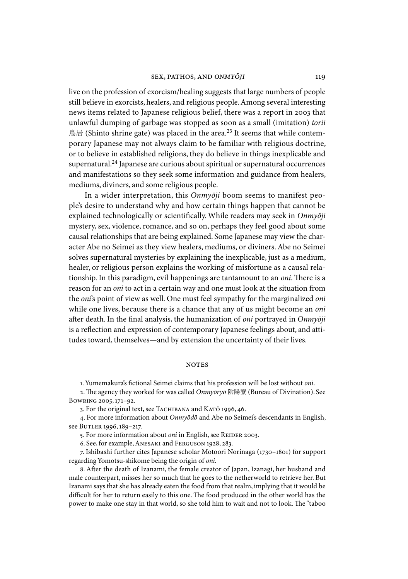# sex, pathos, and  $\overline{ONMYO}$ *II* 119

live on the profession of exorcism/healing suggests that large numbers of people still believe in exorcists, healers, and religious people. Among several interesting news items related to Japanese religious belief, there was a report in 2003 that unlawful dumping of garbage was stopped as soon as a small (imitation) *torii* 鳥居 (Shinto shrine gate) was placed in the area.<sup>23</sup> It seems that while contemporary Japanese may not always claim to be familiar with religious doctrine, or to believe in established religions, they do believe in things inexplicable and supernatural.<sup>24</sup> Japanese are curious about spiritual or supernatural occurrences and manifestations so they seek some information and guidance from healers, mediums, diviners, and some religious people.

In a wider interpretation, this *Onmyōji* boom seems to manifest people's desire to understand why and how certain things happen that cannot be explained technologically or scientifically. While readers may seek in *Onmyōji* mystery, sex, violence, romance, and so on, perhaps they feel good about some causal relationships that are being explained. Some Japanese may view the character Abe no Seimei as they view healers, mediums, or diviners. Abe no Seimei solves supernatural mysteries by explaining the inexplicable, just as a medium, healer, or religious person explains the working of misfortune as a causal relationship. In this paradigm, evil happenings are tantamount to an *oni*. There is a reason for an *oni* to act in a certain way and one must look at the situation from the *oni*'s point of view as well. One must feel sympathy for the marginalized *oni* while one lives, because there is a chance that any of us might become an *oni* after death. In the final analysis, the humanization of *oni* portrayed in *Onmyōji* is a reflection and expression of contemporary Japanese feelings about, and attitudes toward, themselves—and by extension the uncertainty of their lives.

#### **NOTES**

1. Yumemakura's fictional Seimei claims that his profession will be lost without *oni*.

2. The agency they worked for was called *Onmyōryō* 陰陽寮 (Bureau of Divination). See Bowring 2005, 171–92.

3. For the original text, see TACHIBANA and KATO 1996, 46.

4. For more information about *Onmyōdō* and Abe no Seimei's descendants in English, see BUTLER 1996, 189-217.

5. For more information about *oni* in English, see REIDER 2003.

6. See, for example, Anesaki and Ferguson 1928, 283.

7. Ishibashi further cites Japanese scholar Motoori Norinaga (1730–1801) for support regarding Yomotsu*-*shikome being the origin of *oni.*

8. After the death of Izanami, the female creator of Japan, Izanagi, her husband and male counterpart, misses her so much that he goes to the netherworld to retrieve her. But Izanami says that she has already eaten the food from that realm, implying that it would be difficult for her to return easily to this one. The food produced in the other world has the power to make one stay in that world, so she told him to wait and not to look. The "taboo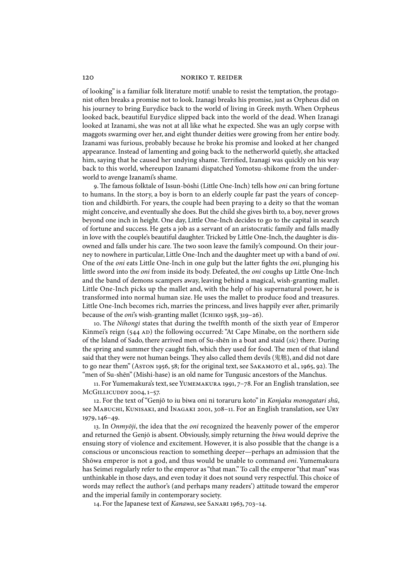of looking" is a familiar folk literature motif: unable to resist the temptation, the protagonist often breaks a promise not to look. Izanagi breaks his promise, just as Orpheus did on his journey to bring Eurydice back to the world of living in Greek myth. When Orpheus looked back, beautiful Eurydice slipped back into the world of the dead. When Izanagi looked at Izanami, she was not at all like what he expected. She was an ugly corpse with maggots swarming over her, and eight thunder deities were growing from her entire body. Izanami was furious, probably because he broke his promise and looked at her changed appearance. Instead of lamenting and going back to the netherworld quietly, she attacked him, saying that he caused her undying shame. Terrified, Izanagi was quickly on his way back to this world, whereupon Izanami dispatched Yomotsu-shikome from the underworld to avenge Izanami's shame.

9. The famous folktale of Issun-bōshi (Little One-Inch) tells how *oni* can bring fortune to humans. In the story, a boy is born to an elderly couple far past the years of conception and childbirth. For years, the couple had been praying to a deity so that the woman might conceive, and eventually she does. But the child she gives birth to, a boy, never grows beyond one inch in height. One day, Little One-Inch decides to go to the capital in search of fortune and success. He gets a job as a servant of an aristocratic family and falls madly in love with the couple's beautiful daughter. Tricked by Little One-Inch, the daughter is disowned and falls under his care. The two soon leave the family's compound. On their journey to nowhere in particular, Little One-Inch and the daughter meet up with a band of *oni*. One of the *oni* eats Little One-Inch in one gulp but the latter fights the *oni*, plunging his little sword into the *oni* from inside its body. Defeated, the *oni* coughs up Little One-Inch and the band of demons scampers away, leaving behind a magical, wish-granting mallet. Little One-Inch picks up the mallet and, with the help of his supernatural power, he is transformed into normal human size. He uses the mallet to produce food and treasures. Little One-Inch becomes rich, marries the princess, and lives happily ever after, primarily because of the *oni*'s wish-granting mallet (Ichiko 1958, 319–26).

10. The *Nihongi* states that during the twelfth month of the sixth year of Emperor Kinmei's reign (544 AD) the following occurred: "At Cape Minabe, on the northern side of the Island of Sado, there arrived men of Su-shēn in a boat and staid (*sic*) there. During the spring and summer they caught fish, which they used for food. The men of that island said that they were not human beings. They also called them devils (鬼魅), and did not dare to go near them" (Aston 1956, 58; for the original text, see Sakamoto et al., 1965, 92). The "men of Su-shēn" (Mishi-hase) is an old name for Tungusic ancestors of the Manchus.

11. For Yumemakura's text, see Yumemakura 1991, 7–78. For an English translation, see McGillicuddy 2004, 1-57.

12. For the text of "Genjō to iu biwa oni ni toraruru koto" in *Konjaku monogatari shū*, see Mabuchi, Kunisaki, and Inagaki 2001, 308–11. For an English translation, see Ury 1979, 146–49.

13. In *Onmyōji*, the idea that the *oni* recognized the heavenly power of the emperor and returned the Genjō is absent. Obviously, simply returning the *biwa* would deprive the ensuing story of violence and excitement. However, it is also possible that the change is a conscious or unconscious reaction to something deeper—perhaps an admission that the Shōwa emperor is not a god, and thus would be unable to command *oni*. Yumemakura has Seimei regularly refer to the emperor as "that man." To call the emperor "that man" was unthinkable in those days, and even today it does not sound very respectful. This choice of words may reflect the author's (and perhaps many readers') attitude toward the emperor and the imperial family in contemporary society.

14. For the Japanese text of *Kanawa*, see Sanari 1963, 703–14.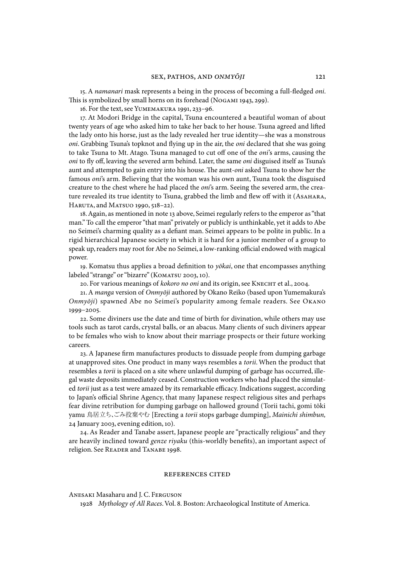15. A *namanari* mask represents a being in the process of becoming a full-fledged *oni*. This is symbolized by small horns on its forehead (Nogami 1943, 299).

16. For the text, see Yumemakura 1991, 233–96.

17. At Modori Bridge in the capital, Tsuna encountered a beautiful woman of about twenty years of age who asked him to take her back to her house. Tsuna agreed and lifted the lady onto his horse, just as the lady revealed her true identity—she was a monstrous *oni*. Grabbing Tsuna's topknot and flying up in the air, the *oni* declared that she was going to take Tsuna to Mt. Atago. Tsuna managed to cut off one of the *oni*'s arms, causing the *oni* to fly off, leaving the severed arm behind. Later, the same *oni* disguised itself as Tsuna's aunt and attempted to gain entry into his house. The aunt-*oni* asked Tsuna to show her the famous *oni*'s arm. Believing that the woman was his own aunt, Tsuna took the disguised creature to the chest where he had placed the *oni*'s arm. Seeing the severed arm, the creature revealed its true identity to Tsuna, grabbed the limb and flew off with it (Asahara, Haruta, and Matsuo 1990, 518–22).

18. Again, as mentioned in note 13 above, Seimei regularly refers to the emperor as "that man." To call the emperor "that man" privately or publicly is unthinkable, yet it adds to Abe no Seimei's charming quality as a defiant man. Seimei appears to be polite in public. In a rigid hierarchical Japanese society in which it is hard for a junior member of a group to speak up, readers may root for Abe no Seimei, a low-ranking official endowed with magical power.

19. Komatsu thus applies a broad definition to *yōkai*, one that encompasses anything labeled "strange" or "bizarre" (KOMATSU 2003, 10).

20. For various meanings of *kokoro no oni* and its origin, see Knecht et al., 2004.

21. A *manga* version of *Onmyōji* authored by Okano Reiko (based upon Yumemakura's *Onmyōji*) spawned Abe no Seimei's popularity among female readers. See Okano 1999–2005.

22. Some diviners use the date and time of birth for divination, while others may use tools such as tarot cards, crystal balls, or an abacus. Many clients of such diviners appear to be females who wish to know about their marriage prospects or their future working careers.

23. A Japanese firm manufactures products to dissuade people from dumping garbage at unapproved sites. One product in many ways resembles a *torii*. When the product that resembles a *torii* is placed on a site where unlawful dumping of garbage has occurred, illegal waste deposits immediately ceased. Construction workers who had placed the simulated *torii* just as a test were amazed by its remarkable efficacy. Indications suggest, according to Japan's official Shrine Agency, that many Japanese respect religious sites and perhaps fear divine retribution for dumping garbage on hallowed ground (Torii tachi, gomi tōki yamu 鳥居立ち、ごみ投棄やむ [Erecting a *torii* stops garbage dumping], *Mainichi shimbun,*  24 January 2003, evening edition, 10).

24. As Reader and Tanabe assert, Japanese people are "practically religious" and they are heavily inclined toward *genze riyaku* (this-worldly benefits), an important aspect of religion. See READER and TANABE 1998.

# references cited

Anesaki Masaharu and J. C. Ferguson

1928 *Mythology of All Races*. Vol. 8. Boston: Archaeological Institute of America.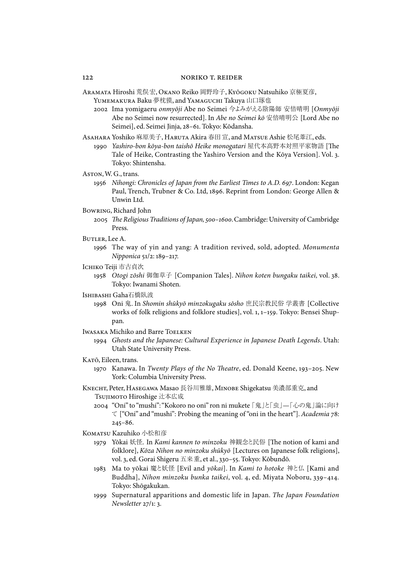Aramata Hiroshi 荒俣 宏, Okano Reiko 岡野玲子, Kyōgoku Natsuhiko 京極夏彦, Yumemakura Baku 夢枕獏, and Yamaguchi Takuya 山口琢也

2002 Ima yomigaeru *onmyōji* Abe no Seimei 今よみがえる陰陽師 安倍晴明 [*Onmyōji* Abe no Seimei now resurrected]. In *Abe no Seimei kō* 安倍晴明公 [Lord Abe no Seimei], ed. Seimei Jinja, 28–61. Tokyo: Kōdansha.

Asahara Yoshiko 麻原美子, Haruta Akira 春田 宣, and Matsue Ashie 松尾葦江, eds.

- 1990 *Yashiro-bon kōya-bon taishō Heike monogatari* 屋代本高野本対照平家物語 [The Tale of Heike, Contrasting the Yashiro Version and the Kōya Version]. Vol. 3. Tokyo: Shintensha.
- Aston, W. G., trans.
	- 1956 *Nihongi: Chronicles of Japan from the Earliest Times to A.D. 697*. London: Kegan Paul, Trench, Trubner & Co. Ltd, 1896. Reprint from London: George Allen & Unwin Ltd.
- Bowring, Richard John
	- 2005 *The Religious Traditions of Japan, 500–1600*. Cambridge: University of Cambridge **Press**
- BUTLER, Lee A.
	- 1996 The way of yin and yang: A tradition revived, sold, adopted. *Monumenta Nipponica* 51/2: 189–217.
- Ichiko Teiji 市古貞次
	- 1958 *Otogi zōshi* 御伽草子 [Companion Tales]. *Nihon koten bungaku taikei,* vol. 38. Tokyo: Iwanami Shoten*.*
- Ishibashi Gaha石橋臥波
	- 1998 Oni 鬼. In *Shomin shūkyō minzokugaku sōsho* 庶民宗教民俗 学叢書 [Collective works of folk religions and folklore studies], vol. 1, 1–159. Tokyo: Bensei Shuppan.
- Iwasaka Michiko and Barre Toelken
	- 1994 *Ghosts and the Japanese: Cultural Experience in Japanese Death Legends*. Utah: Utah State University Press.
- KATŌ, Eileen, trans.
	- 1970 Kanawa. In *Twenty Plays of the No Theatre*, ed. Donald Keene, 193–205. New York: Columbia University Press.
- Knecht, Peter, Hasegawa Masao 長谷川雅雄, Minobe Shigekatsu 美濃部重克, and Tsujimoto Hiroshige 辻本広成
	- 2004 "Oni" to "mushi": "Kokoro no oni" ron ni mukete 「鬼」と「虫」—「心の鬼」論に向け て ["Oni" and "mushi": Probing the meaning of "oni in the heart"]. *Academia* 78: 245–86.
- Komatsu Kazuhiko 小松和彦
	- 1979 Yōkai 妖怪. In *Kami kannen to minzoku* 神観念と民俗 [The notion of kami and folklore], *Kōza Nihon no minzoku shūkyō* [Lectures on Japanese folk religions], vol. 3, ed. Gorai Shigeru 五来 重, et al., 330–55. Tokyo: Kōbundō.
	- 1983 Ma to yōkai 魔と妖怪 [Evil and *yōkai*]. In *Kami to hotoke* 神と仏 [Kami and Buddha], *Nihon minzoku bunka taikei*, vol. 4, ed. Miyata Noboru, 339–414. Tokyo: Shōgakukan.
	- 1999 Supernatural apparitions and domestic life in Japan. *The Japan Foundation Newsletter* 27/1: 3.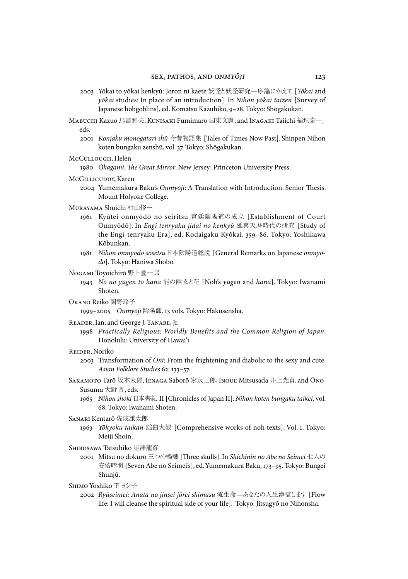- 2003 Yōkai to yōkai kenkyū: Joron ni kaete 妖怪と妖怪研究—序論にかえて [*Yōkai* and *yōkai* studies: In place of an introduction]. In *Nihon yōkai taizen* [Survey of Japanese hobgoblins], ed. Komatsu Kazuhiko, 9–28. Tokyo: Shōgakukan.
- Mabuchi Kazuo 馬淵和夫, Kunisaki Fumimaro 国東文麿, and Inagaki Taiichi 稲垣泰一, eds.
	- 2001 *Konjaku monogatari shū* 今昔物語集 [Tales of Times Now Past]. Shinpen Nihon koten bungaku zenshū, vol. 37. Tokyo: Shōgakukan.

# McCullough, Helen

1980 *Ōkagami: The Great Mirror*. New Jersey: Princeton University Press.

### McGillicuddy, Karen

- 2004 Yumemakura Baku's *Onmyōji*: A Translation with Introduction. Senior Thesis. Mount Holyoke College.
- Murayama Shūichi 村山修一
	- 1961 Kyūtei onmyōdō no seiritsu 宮廷陰陽道の成立 [Establishment of Court Onmyōdō]. In *Engi tenryaku jidai no kenkyū* 延喜天暦時代の研究 [Study of the Engi-tenryaku Era], ed. Kodaigaku Kyōkai, 359–86. Tokyo: Yoshikawa Kōbunkan.
	- 1981 *Nihon onmyōdō sōsetsu* 日本陰陽道総説 [General Remarks on Japanese *onmyōdō*]. Tokyo: Haniwa Shobō.

#### Nogami Toyoichirō 野上豊一郎

- 1943 *Nō no yūgen to hana* 能の幽玄と花 [Noh's *yūgen* and *hana*]. Tokyo: Iwanami Shoten.
- Okano Reiko 岡野玲子

1999–2005 *Onmyōji* 陰陽師. 13 vols. Tokyo: Hakusensha.

#### Reader, Ian, and George J. Tanabe, Jr.

1998 *Practically Religious: Worldly Benefits and the Common Religion of Japan*. Honolulu: University of Hawai'i.

## REIDER, Noriko

- 2003 Transformation of *Oni*: From the frightening and diabolic to the sexy and cute. *Asian Folklore Studies* 62: 133–57.
- Sakamoto Tarō 坂本太郎, Ienaga Saborō 家永三郎, Inoue Mitsusada 井上光貞, and Ōno Susumu 大野 晋, eds.
	- 1965 *Nihon shoki* 日本書紀 II [Chronicles of Japan II]. *Nihon koten bungaku taikei,* vol. 68. Tokyo: Iwanami Shoten.

#### Sanari Kentarō 佐成謙太郎

1963 *Yōkyoku taikan* 謡曲大観 [Comprehensive works of noh texts]. Vol. 1. Tokyo: Meiji Shoin.

# Shibusawa Tatsuhiko 澁澤龍彦

2001 Mitsu no dokuro 三つの髑髏 [Three skulls]. In *Shichinin no Abe no Seimei* 七人の 安倍晴明 [Seven Abe no Seimei's], ed. Yumemakura Baku, 173–95. Tokyo: Bungei Shunjū.

# Shimo Yoshiko 下 ヨシ子

2002 *Ryūseimei: Anata no jinsei jōrei shimasu* 流生命—あなたの人生浄霊します [Flow life: I will cleanse the spiritual side of your life]. Tokyo: Jitsugyō no Nihonsha.